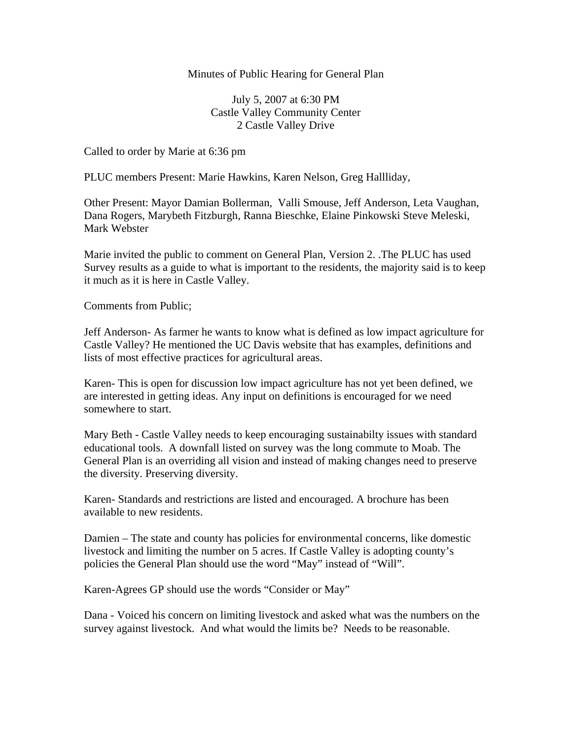## Minutes of Public Hearing for General Plan

July 5, 2007 at 6:30 PM Castle Valley Community Center 2 Castle Valley Drive

Called to order by Marie at 6:36 pm

PLUC members Present: Marie Hawkins, Karen Nelson, Greg Hallliday,

Other Present: Mayor Damian Bollerman, Valli Smouse, Jeff Anderson, Leta Vaughan, Dana Rogers, Marybeth Fitzburgh, Ranna Bieschke, Elaine Pinkowski Steve Meleski, Mark Webster

Marie invited the public to comment on General Plan, Version 2. .The PLUC has used Survey results as a guide to what is important to the residents, the majority said is to keep it much as it is here in Castle Valley.

Comments from Public;

Jeff Anderson- As farmer he wants to know what is defined as low impact agriculture for Castle Valley? He mentioned the UC Davis website that has examples, definitions and lists of most effective practices for agricultural areas.

Karen- This is open for discussion low impact agriculture has not yet been defined, we are interested in getting ideas. Any input on definitions is encouraged for we need somewhere to start.

Mary Beth - Castle Valley needs to keep encouraging sustainabilty issues with standard educational tools. A downfall listed on survey was the long commute to Moab. The General Plan is an overriding all vision and instead of making changes need to preserve the diversity. Preserving diversity.

Karen- Standards and restrictions are listed and encouraged. A brochure has been available to new residents.

Damien – The state and county has policies for environmental concerns, like domestic livestock and limiting the number on 5 acres. If Castle Valley is adopting county's policies the General Plan should use the word "May" instead of "Will".

Karen-Agrees GP should use the words "Consider or May"

Dana - Voiced his concern on limiting livestock and asked what was the numbers on the survey against livestock. And what would the limits be? Needs to be reasonable.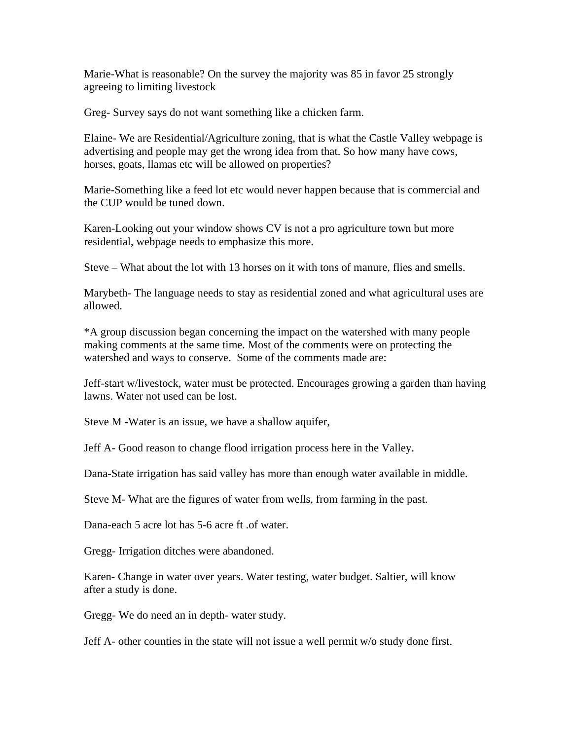Marie-What is reasonable? On the survey the majority was 85 in favor 25 strongly agreeing to limiting livestock

Greg- Survey says do not want something like a chicken farm.

Elaine- We are Residential/Agriculture zoning, that is what the Castle Valley webpage is advertising and people may get the wrong idea from that. So how many have cows, horses, goats, llamas etc will be allowed on properties?

Marie-Something like a feed lot etc would never happen because that is commercial and the CUP would be tuned down.

Karen-Looking out your window shows CV is not a pro agriculture town but more residential, webpage needs to emphasize this more.

Steve – What about the lot with 13 horses on it with tons of manure, flies and smells.

Marybeth- The language needs to stay as residential zoned and what agricultural uses are allowed.

\*A group discussion began concerning the impact on the watershed with many people making comments at the same time. Most of the comments were on protecting the watershed and ways to conserve. Some of the comments made are:

Jeff-start w/livestock, water must be protected. Encourages growing a garden than having lawns. Water not used can be lost.

Steve M -Water is an issue, we have a shallow aquifer,

Jeff A- Good reason to change flood irrigation process here in the Valley.

Dana-State irrigation has said valley has more than enough water available in middle.

Steve M- What are the figures of water from wells, from farming in the past.

Dana-each 5 acre lot has 5-6 acre ft .of water.

Gregg- Irrigation ditches were abandoned.

Karen- Change in water over years. Water testing, water budget. Saltier, will know after a study is done.

Gregg- We do need an in depth- water study.

Jeff A- other counties in the state will not issue a well permit w/o study done first.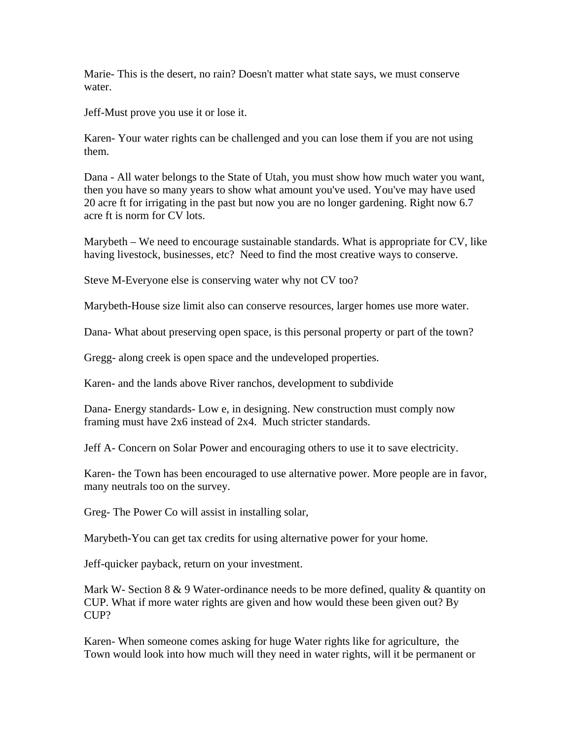Marie- This is the desert, no rain? Doesn't matter what state says, we must conserve water.

Jeff-Must prove you use it or lose it.

Karen- Your water rights can be challenged and you can lose them if you are not using them.

Dana - All water belongs to the State of Utah, you must show how much water you want, then you have so many years to show what amount you've used. You've may have used 20 acre ft for irrigating in the past but now you are no longer gardening. Right now 6.7 acre ft is norm for CV lots.

Marybeth – We need to encourage sustainable standards. What is appropriate for CV, like having livestock, businesses, etc? Need to find the most creative ways to conserve.

Steve M-Everyone else is conserving water why not CV too?

Marybeth-House size limit also can conserve resources, larger homes use more water.

Dana- What about preserving open space, is this personal property or part of the town?

Gregg- along creek is open space and the undeveloped properties.

Karen- and the lands above River ranchos, development to subdivide

Dana- Energy standards- Low e, in designing. New construction must comply now framing must have 2x6 instead of 2x4. Much stricter standards.

Jeff A- Concern on Solar Power and encouraging others to use it to save electricity.

Karen- the Town has been encouraged to use alternative power. More people are in favor, many neutrals too on the survey.

Greg- The Power Co will assist in installing solar,

Marybeth-You can get tax credits for using alternative power for your home.

Jeff-quicker payback, return on your investment.

Mark W- Section 8 & 9 Water-ordinance needs to be more defined, quality & quantity on CUP. What if more water rights are given and how would these been given out? By CUP?

Karen- When someone comes asking for huge Water rights like for agriculture, the Town would look into how much will they need in water rights, will it be permanent or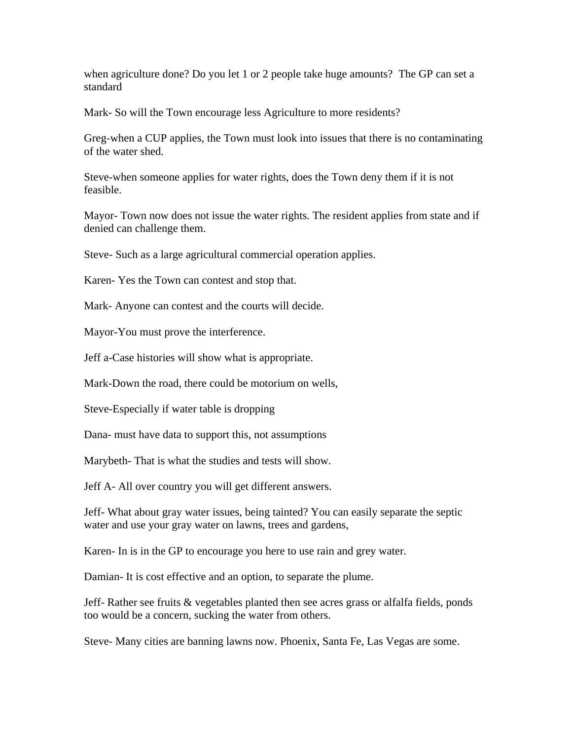when agriculture done? Do you let 1 or 2 people take huge amounts? The GP can set a standard

Mark- So will the Town encourage less Agriculture to more residents?

Greg-when a CUP applies, the Town must look into issues that there is no contaminating of the water shed.

Steve-when someone applies for water rights, does the Town deny them if it is not feasible.

Mayor- Town now does not issue the water rights. The resident applies from state and if denied can challenge them.

Steve- Such as a large agricultural commercial operation applies.

Karen- Yes the Town can contest and stop that.

Mark- Anyone can contest and the courts will decide.

Mayor-You must prove the interference.

Jeff a-Case histories will show what is appropriate.

Mark-Down the road, there could be motorium on wells,

Steve-Especially if water table is dropping

Dana- must have data to support this, not assumptions

Marybeth- That is what the studies and tests will show.

Jeff A- All over country you will get different answers.

Jeff- What about gray water issues, being tainted? You can easily separate the septic water and use your gray water on lawns, trees and gardens,

Karen- In is in the GP to encourage you here to use rain and grey water.

Damian- It is cost effective and an option, to separate the plume.

Jeff- Rather see fruits & vegetables planted then see acres grass or alfalfa fields, ponds too would be a concern, sucking the water from others.

Steve- Many cities are banning lawns now. Phoenix, Santa Fe, Las Vegas are some.